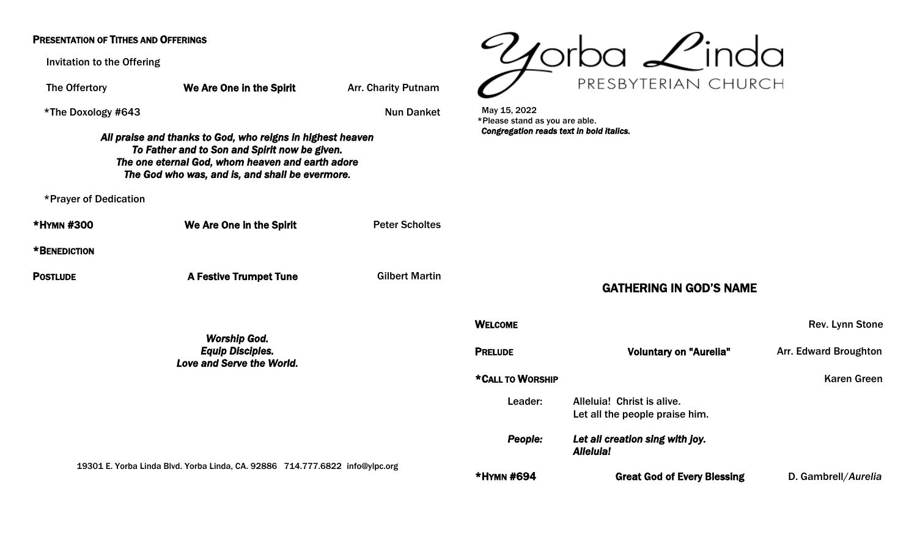## PRESENTATION OF TITHES AND OFFERINGS

Invitation to the Offering

The Offertory **We Are One in the Spirit** Arr. Charity Putnam \*The Doxology #643 Nun Danket *All praise and thanks to God, who reigns in highest heaven To Father and to Son and Spirit now be given. The one eternal God, whom heaven and earth adore The God who was, and is, and shall be evermore.*  \*Prayer of Dedication \*HYMN #300 We Are One in the Spirit Peter Scholtes \*BENEDICTION POSTLUDE **A Festive Trumpet Tune** Gilbert Martin *Worship God. Equip Disciples. Love and Serve the World.*  19301 E. Yorba Linda Blvd. Yorba Linda, CA. 92886 714.777.6822 [info@ylpc.org](mailto:info@ylpc.org) May 15, 2022 \*Please stand as you are able. *Congregation reads text in bold italics.*  Leader: Alleluia! Christ is alive. *Alleluia!* 



## GATHERING IN GOD'S NAME

|   | <b>WELCOME</b>   |                                                              | Rev. Lynn Stone              |
|---|------------------|--------------------------------------------------------------|------------------------------|
|   | <b>PRELUDE</b>   | <b>Voluntary on "Aurelia"</b>                                | <b>Arr. Edward Broughton</b> |
|   | *CALL TO WORSHIP |                                                              | <b>Karen Green</b>           |
|   | Leader:          | Alleluia! Christ is alive.<br>Let all the people praise him. |                              |
|   | People:          | Let all creation sing with joy.<br><b>Alleluia!</b>          |                              |
| Έ | *HYMN #694       | <b>Great God of Every Blessing</b>                           | D. Gambrell/Aurelia          |